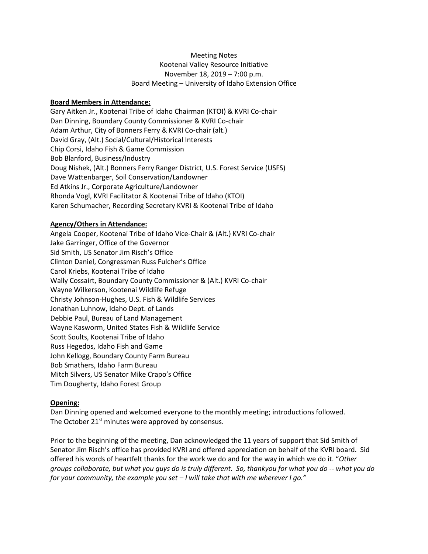# Meeting Notes Kootenai Valley Resource Initiative November 18, 2019 – 7:00 p.m. Board Meeting – University of Idaho Extension Office

## **Board Members in Attendance:**

Gary Aitken Jr., Kootenai Tribe of Idaho Chairman (KTOI) & KVRI Co-chair Dan Dinning, Boundary County Commissioner & KVRI Co-chair Adam Arthur, City of Bonners Ferry & KVRI Co-chair (alt.) David Gray, (Alt.) Social/Cultural/Historical Interests Chip Corsi, Idaho Fish & Game Commission Bob Blanford, Business/Industry Doug Nishek, (Alt.) Bonners Ferry Ranger District, U.S. Forest Service (USFS) Dave Wattenbarger, Soil Conservation/Landowner Ed Atkins Jr., Corporate Agriculture/Landowner Rhonda Vogl, KVRI Facilitator & Kootenai Tribe of Idaho (KTOI) Karen Schumacher, Recording Secretary KVRI & Kootenai Tribe of Idaho

#### **Agency/Others in Attendance:**

Angela Cooper, Kootenai Tribe of Idaho Vice-Chair & (Alt.) KVRI Co-chair Jake Garringer, Office of the Governor Sid Smith, US Senator Jim Risch's Office Clinton Daniel, Congressman Russ Fulcher's Office Carol Kriebs, Kootenai Tribe of Idaho Wally Cossairt, Boundary County Commissioner & (Alt.) KVRI Co-chair Wayne Wilkerson, Kootenai Wildlife Refuge Christy Johnson-Hughes, U.S. Fish & Wildlife Services Jonathan Luhnow, Idaho Dept. of Lands Debbie Paul, Bureau of Land Management Wayne Kasworm, United States Fish & Wildlife Service Scott Soults, Kootenai Tribe of Idaho Russ Hegedos, Idaho Fish and Game John Kellogg, Boundary County Farm Bureau Bob Smathers, Idaho Farm Bureau Mitch Silvers, US Senator Mike Crapo's Office Tim Dougherty, Idaho Forest Group

## **Opening:**

Dan Dinning opened and welcomed everyone to the monthly meeting; introductions followed. The October  $21<sup>st</sup>$  minutes were approved by consensus.

Prior to the beginning of the meeting, Dan acknowledged the 11 years of support that Sid Smith of Senator Jim Risch's office has provided KVRI and offered appreciation on behalf of the KVRI board. Sid offered his words of heartfelt thanks for the work we do and for the way in which we do it. "*Other groups collaborate, but what you guys do is truly different. So, thankyou for what you do -- what you do for your community, the example you set – I will take that with me wherever I go."*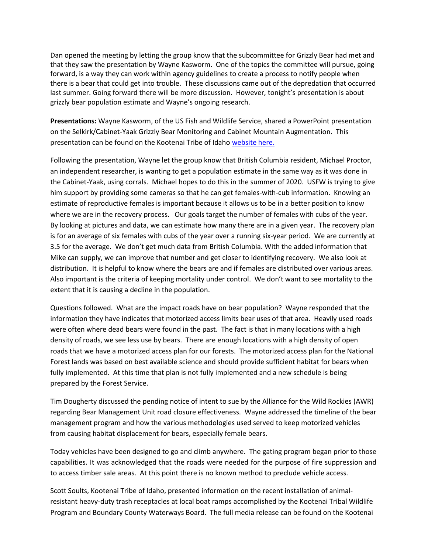Dan opened the meeting by letting the group know that the subcommittee for Grizzly Bear had met and that they saw the presentation by Wayne Kasworm. One of the topics the committee will pursue, going forward, is a way they can work within agency guidelines to create a process to notify people when there is a bear that could get into trouble. These discussions came out of the depredation that occurred last summer. Going forward there will be more discussion. However, tonight's presentation is about grizzly bear population estimate and Wayne's ongoing research.

**Presentations:** Wayne Kasworm, of the US Fish and Wildlife Service, shared a PowerPoint presentation on the Selkirk/Cabinet-Yaak Grizzly Bear Monitoring and Cabinet Mountain Augmentation. This presentation can be found on the Kootenai Tribe of Idaho [website here.](http://www.kootenai.org/documents/WayneKaswormPresentSCYKGB111819_000.pdf)

Following the presentation, Wayne let the group know that British Columbia resident, Michael Proctor, an independent researcher, is wanting to get a population estimate in the same way as it was done in the Cabinet-Yaak, using corrals. Michael hopes to do this in the summer of 2020. USFW is trying to give him support by providing some cameras so that he can get females-with-cub information. Knowing an estimate of reproductive females is important because it allows us to be in a better position to know where we are in the recovery process. Our goals target the number of females with cubs of the year. By looking at pictures and data, we can estimate how many there are in a given year. The recovery plan is for an average of six females with cubs of the year over a running six-year period. We are currently at 3.5 for the average. We don't get much data from British Columbia. With the added information that Mike can supply, we can improve that number and get closer to identifying recovery. We also look at distribution. It is helpful to know where the bears are and if females are distributed over various areas. Also important is the criteria of keeping mortality under control. We don't want to see mortality to the extent that it is causing a decline in the population.

Questions followed. What are the impact roads have on bear population? Wayne responded that the information they have indicates that motorized access limits bear uses of that area. Heavily used roads were often where dead bears were found in the past. The fact is that in many locations with a high density of roads, we see less use by bears. There are enough locations with a high density of open roads that we have a motorized access plan for our forests. The motorized access plan for the National Forest lands was based on best available science and should provide sufficient habitat for bears when fully implemented. At this time that plan is not fully implemented and a new schedule is being prepared by the Forest Service.

Tim Dougherty discussed the pending notice of intent to sue by the Alliance for the Wild Rockies (AWR) regarding Bear Management Unit road closure effectiveness. Wayne addressed the timeline of the bear management program and how the various methodologies used served to keep motorized vehicles from causing habitat displacement for bears, especially female bears.

Today vehicles have been designed to go and climb anywhere. The gating program began prior to those capabilities. It was acknowledged that the roads were needed for the purpose of fire suppression and to access timber sale areas. At this point there is no known method to preclude vehicle access.

Scott Soults, Kootenai Tribe of Idaho, presented information on the recent installation of animalresistant heavy-duty trash receptacles at local boat ramps accomplished by the Kootenai Tribal Wildlife Program and Boundary County Waterways Board. The full media release can be found on the Kootenai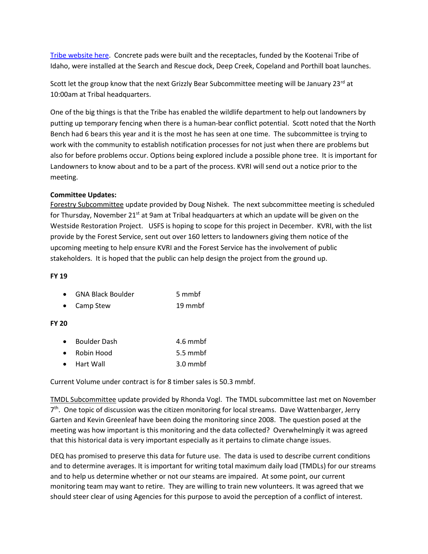[Tribe website here.](http://www.kootenai.org/documents/Bear-ResistantGarbageCanInstallationPressRelease11-1-2019.pdf) Concrete pads were built and the receptacles, funded by the Kootenai Tribe of Idaho, were installed at the Search and Rescue dock, Deep Creek, Copeland and Porthill boat launches.

Scott let the group know that the next Grizzly Bear Subcommittee meeting will be January 23rd at 10:00am at Tribal headquarters.

One of the big things is that the Tribe has enabled the wildlife department to help out landowners by putting up temporary fencing when there is a human-bear conflict potential. Scott noted that the North Bench had 6 bears this year and it is the most he has seen at one time. The subcommittee is trying to work with the community to establish notification processes for not just when there are problems but also for before problems occur. Options being explored include a possible phone tree. It is important for Landowners to know about and to be a part of the process. KVRI will send out a notice prior to the meeting.

## **Committee Updates:**

Forestry Subcommittee update provided by Doug Nishek. The next subcommittee meeting is scheduled for Thursday, November 21<sup>st</sup> at 9am at Tribal headquarters at which an update will be given on the Westside Restoration Project. USFS is hoping to scope for this project in December. KVRI, with the list provide by the Forest Service, sent out over 160 letters to landowners giving them notice of the upcoming meeting to help ensure KVRI and the Forest Service has the involvement of public stakeholders. It is hoped that the public can help design the project from the ground up.

#### **FY 19**

| <b>GNA Black Boulder</b> | 5 mmbf |
|--------------------------|--------|
|                          |        |

• Camp Stew 19 mmbf

## **FY 20**

| $\bullet$ | <b>Boulder Dash</b> | 4.6 mmbf         |
|-----------|---------------------|------------------|
| $\bullet$ | Robin Hood          | 5.5 mmbf         |
| $\bullet$ | Hart Wall           | $3.0 \text{ mm}$ |

Current Volume under contract is for 8 timber sales is 50.3 mmbf.

TMDL Subcommittee update provided by Rhonda Vogl. The TMDL subcommittee last met on November 7<sup>th</sup>. One topic of discussion was the citizen monitoring for local streams. Dave Wattenbarger, Jerry Garten and Kevin Greenleaf have been doing the monitoring since 2008. The question posed at the meeting was how important is this monitoring and the data collected? Overwhelmingly it was agreed that this historical data is very important especially as it pertains to climate change issues.

DEQ has promised to preserve this data for future use. The data is used to describe current conditions and to determine averages. It is important for writing total maximum daily load (TMDLs) for our streams and to help us determine whether or not our steams are impaired. At some point, our current monitoring team may want to retire. They are willing to train new volunteers. It was agreed that we should steer clear of using Agencies for this purpose to avoid the perception of a conflict of interest.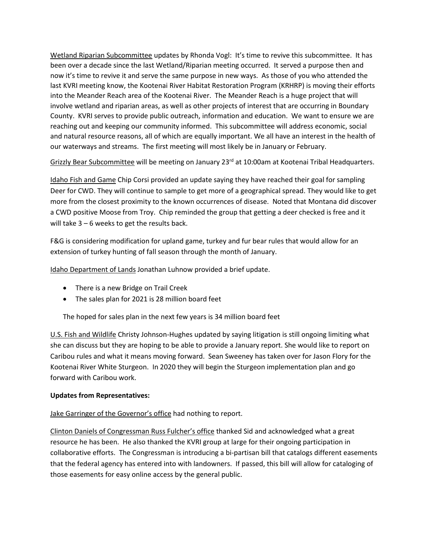Wetland Riparian Subcommittee updates by Rhonda Vogl: It's time to revive this subcommittee. It has been over a decade since the last Wetland/Riparian meeting occurred. It served a purpose then and now it's time to revive it and serve the same purpose in new ways. As those of you who attended the last KVRI meeting know, the Kootenai River Habitat Restoration Program (KRHRP) is moving their efforts into the Meander Reach area of the Kootenai River. The Meander Reach is a huge project that will involve wetland and riparian areas, as well as other projects of interest that are occurring in Boundary County. KVRI serves to provide public outreach, information and education. We want to ensure we are reaching out and keeping our community informed. This subcommittee will address economic, social and natural resource reasons, all of which are equally important. We all have an interest in the health of our waterways and streams. The first meeting will most likely be in January or February.

Grizzly Bear Subcommittee will be meeting on January 23<sup>rd</sup> at 10:00am at Kootenai Tribal Headquarters.

Idaho Fish and Game Chip Corsi provided an update saying they have reached their goal for sampling Deer for CWD. They will continue to sample to get more of a geographical spread. They would like to get more from the closest proximity to the known occurrences of disease. Noted that Montana did discover a CWD positive Moose from Troy. Chip reminded the group that getting a deer checked is free and it will take 3 – 6 weeks to get the results back.

F&G is considering modification for upland game, turkey and fur bear rules that would allow for an extension of turkey hunting of fall season through the month of January.

Idaho Department of Lands Jonathan Luhnow provided a brief update.

- There is a new Bridge on Trail Creek
- The sales plan for 2021 is 28 million board feet

The hoped for sales plan in the next few years is 34 million board feet

U.S. Fish and Wildlife Christy Johnson-Hughes updated by saying litigation is still ongoing limiting what she can discuss but they are hoping to be able to provide a January report. She would like to report on Caribou rules and what it means moving forward. Sean Sweeney has taken over for Jason Flory for the Kootenai River White Sturgeon. In 2020 they will begin the Sturgeon implementation plan and go forward with Caribou work.

## **Updates from Representatives:**

Jake Garringer of the Governor's office had nothing to report.

Clinton Daniels of Congressman Russ Fulcher's office thanked Sid and acknowledged what a great resource he has been. He also thanked the KVRI group at large for their ongoing participation in collaborative efforts. The Congressman is introducing a bi-partisan bill that catalogs different easements that the federal agency has entered into with landowners. If passed, this bill will allow for cataloging of those easements for easy online access by the general public.